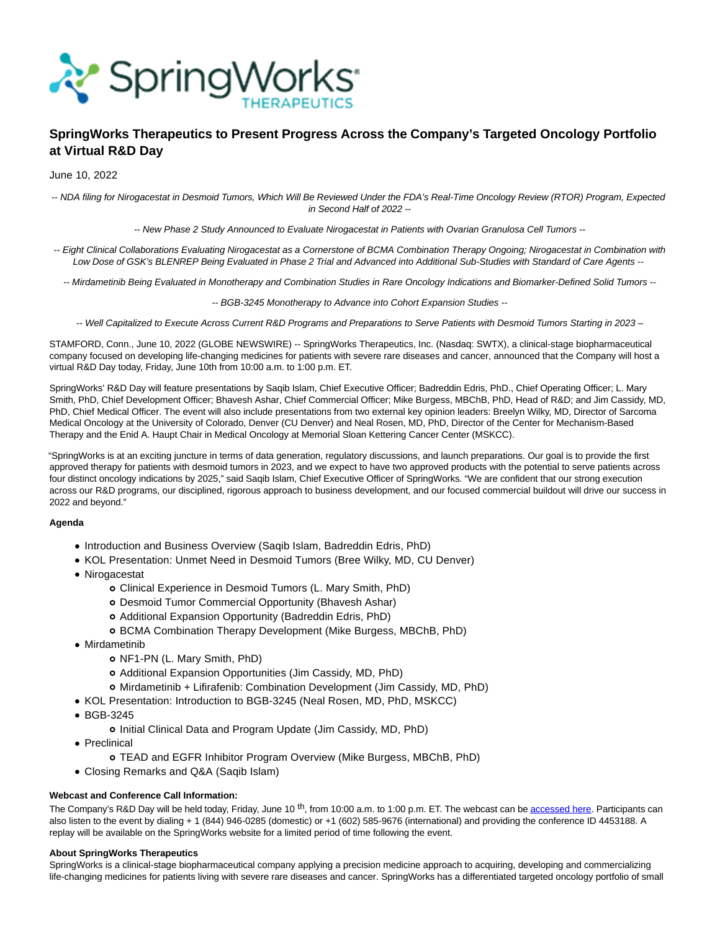

# **SpringWorks Therapeutics to Present Progress Across the Company's Targeted Oncology Portfolio at Virtual R&D Day**

June 10, 2022

-- NDA filing for Nirogacestat in Desmoid Tumors, Which Will Be Reviewed Under the FDA's Real-Time Oncology Review (RTOR) Program, Expected in Second Half of 2022 --

-- New Phase 2 Study Announced to Evaluate Nirogacestat in Patients with Ovarian Granulosa Cell Tumors --

-- Eight Clinical Collaborations Evaluating Nirogacestat as a Cornerstone of BCMA Combination Therapy Ongoing; Nirogacestat in Combination with Low Dose of GSK's BLENREP Being Evaluated in Phase 2 Trial and Advanced into Additional Sub-Studies with Standard of Care Agents --

-- Mirdametinib Being Evaluated in Monotherapy and Combination Studies in Rare Oncology Indications and Biomarker-Defined Solid Tumors --

-- BGB-3245 Monotherapy to Advance into Cohort Expansion Studies --

-- Well Capitalized to Execute Across Current R&D Programs and Preparations to Serve Patients with Desmoid Tumors Starting in 2023 –

STAMFORD, Conn., June 10, 2022 (GLOBE NEWSWIRE) -- SpringWorks Therapeutics, Inc. (Nasdaq: SWTX), a clinical-stage biopharmaceutical company focused on developing life-changing medicines for patients with severe rare diseases and cancer, announced that the Company will host a virtual R&D Day today, Friday, June 10th from 10:00 a.m. to 1:00 p.m. ET.

SpringWorks' R&D Day will feature presentations by Saqib Islam, Chief Executive Officer; Badreddin Edris, PhD., Chief Operating Officer; L. Mary Smith, PhD, Chief Development Officer; Bhavesh Ashar, Chief Commercial Officer; Mike Burgess, MBChB, PhD, Head of R&D; and Jim Cassidy, MD, PhD, Chief Medical Officer. The event will also include presentations from two external key opinion leaders: Breelyn Wilky, MD, Director of Sarcoma Medical Oncology at the University of Colorado, Denver (CU Denver) and Neal Rosen, MD, PhD, Director of the Center for Mechanism-Based Therapy and the Enid A. Haupt Chair in Medical Oncology at Memorial Sloan Kettering Cancer Center (MSKCC).

"SpringWorks is at an exciting juncture in terms of data generation, regulatory discussions, and launch preparations. Our goal is to provide the first approved therapy for patients with desmoid tumors in 2023, and we expect to have two approved products with the potential to serve patients across four distinct oncology indications by 2025," said Saqib Islam, Chief Executive Officer of SpringWorks. "We are confident that our strong execution across our R&D programs, our disciplined, rigorous approach to business development, and our focused commercial buildout will drive our success in 2022 and beyond."

## **Agenda**

- Introduction and Business Overview (Saqib Islam, Badreddin Edris, PhD)
- KOL Presentation: Unmet Need in Desmoid Tumors (Bree Wilky, MD, CU Denver)
- Nirogacestat
	- Clinical Experience in Desmoid Tumors (L. Mary Smith, PhD)
	- Desmoid Tumor Commercial Opportunity (Bhavesh Ashar)
	- Additional Expansion Opportunity (Badreddin Edris, PhD)
	- BCMA Combination Therapy Development (Mike Burgess, MBChB, PhD)
- Mirdametinib
	- o NF1-PN (L. Mary Smith, PhD)
	- Additional Expansion Opportunities (Jim Cassidy, MD, PhD)
	- Mirdametinib + Lifirafenib: Combination Development (Jim Cassidy, MD, PhD)
- KOL Presentation: Introduction to BGB-3245 (Neal Rosen, MD, PhD, MSKCC)
- BGB-3245
	- o Initial Clinical Data and Program Update (Jim Cassidy, MD, PhD)
- Preclinical
	- TEAD and EGFR Inhibitor Program Overview (Mike Burgess, MBChB, PhD)
- Closing Remarks and Q&A (Saqib Islam)

## **Webcast and Conference Call Information:**

The Company's R&D Day will be held today, Friday, June 10<sup>th</sup>, from 10:00 a.m. to 1:00 p.m. ET. The webcast can b[e accessed here.](https://www.globenewswire.com/Tracker?data=06JhTZFoRfeMa1Dj2-Cs0uqUXDfWaPFdNqjHrkTRnGYiUXq_Lv4u-SdfE6WEn0Ld1jf4rfseoRtoxJ9UnvRjrhf3sg1QtYp70ElrAR9WEgKRptH7q2UX9qLP6nb0l0UpVi0t0a_mYbkOunqXUpvn65ghZea1Fx_ITMVj4rQGuQkWxNhZS-mEkkoDIb56O6vXZKNOzat3C5YMyGvyDAW-6w==) Participants can also listen to the event by dialing + 1 (844) 946-0285 (domestic) or +1 (602) 585-9676 (international) and providing the conference ID 4453188. A replay will be available on the SpringWorks website for a limited period of time following the event.

## **About SpringWorks Therapeutics**

SpringWorks is a clinical-stage biopharmaceutical company applying a precision medicine approach to acquiring, developing and commercializing life-changing medicines for patients living with severe rare diseases and cancer. SpringWorks has a differentiated targeted oncology portfolio of small